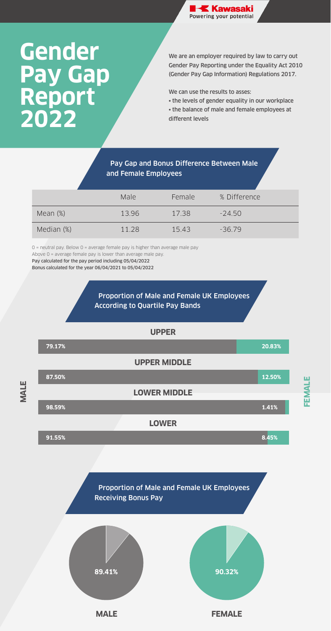We are an employer required by law to carry out Gender Pay Reporting under the Equality Act 2010 (Gender Pay Gap Information) Regulations 2017.

We can use the results to asses:

• the levels of gender equality in our workplace

• the balance of male and female employees at different levels

0 = neutral pay. Below 0 = average female pay is higher than average male pay Above 0 = average female pay is lower than average male pay. Pay calculated for the pay period including 05/04/2022 Bonus calculated for the year 06/04/2021 to 05/04/2022



## **Gender Pay Gap Report 2022**

## Pay Gap and Bonus Difference Between Male and Female Employees

Proportion of Male and Female UK Employees Receiving Bonus Pay

|             | Male  | Female | % Difference |
|-------------|-------|--------|--------------|
| Mean $(\%)$ | 13.96 | 17.38  | $-24.50$     |
| Median (%)  | 11.28 | 15.43  | $-36.79$     |



**MALE**

**FEMALE**